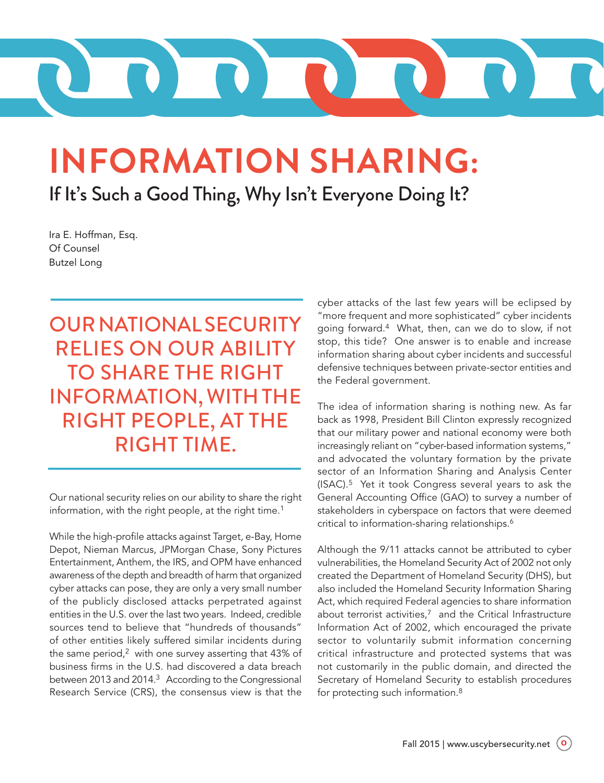# **INFORMATION SHARING:**

If It's Such a Good Thing, Why Isn't Everyone Doing It?

Ira E. Hoffman, Esq. Of Counsel Butzel Long

OUR NATIONAL SECURITY RELIES ON OUR ABILITY TO SHARE THE RIGHT INFORMATION, WITH THE RIGHT PEOPLE, AT THE RIGHT TIME.

Our national security relies on our ability to share the right information, with the right people, at the right time.<sup>1</sup>

While the high-profile attacks against Target, e-Bay, Home Depot, Nieman Marcus, JPMorgan Chase, Sony Pictures Entertainment, Anthem, the IRS, and OPM have enhanced awareness of the depth and breadth of harm that organized cyber attacks can pose, they are only a very small number of the publicly disclosed attacks perpetrated against entities in the U.S. over the last two years. Indeed, credible sources tend to believe that "hundreds of thousands" of other entities likely suffered similar incidents during the same period, $2$  with one survey asserting that 43% of business firms in the U.S. had discovered a data breach between 2013 and 2014.<sup>3</sup> According to the Congressional Research Service (CRS), the consensus view is that the

cyber attacks of the last few years will be eclipsed by "more frequent and more sophisticated" cyber incidents going forward.4 What, then, can we do to slow, if not stop, this tide? One answer is to enable and increase information sharing about cyber incidents and successful defensive techniques between private-sector entities and the Federal government.

The idea of information sharing is nothing new. As far back as 1998, President Bill Clinton expressly recognized that our military power and national economy were both increasingly reliant on "cyber-based information systems," and advocated the voluntary formation by the private sector of an Information Sharing and Analysis Center (ISAC).5 Yet it took Congress several years to ask the General Accounting Office (GAO) to survey a number of stakeholders in cyberspace on factors that were deemed critical to information-sharing relationships.<sup>6</sup>

Although the 9/11 attacks cannot be attributed to cyber vulnerabilities, the Homeland Security Act of 2002 not only created the Department of Homeland Security (DHS), but also included the Homeland Security Information Sharing Act, which required Federal agencies to share information about terrorist activities, $7$  and the Critical Infrastructure Information Act of 2002, which encouraged the private sector to voluntarily submit information concerning critical infrastructure and protected systems that was not customarily in the public domain, and directed the Secretary of Homeland Security to establish procedures for protecting such information.<sup>8</sup>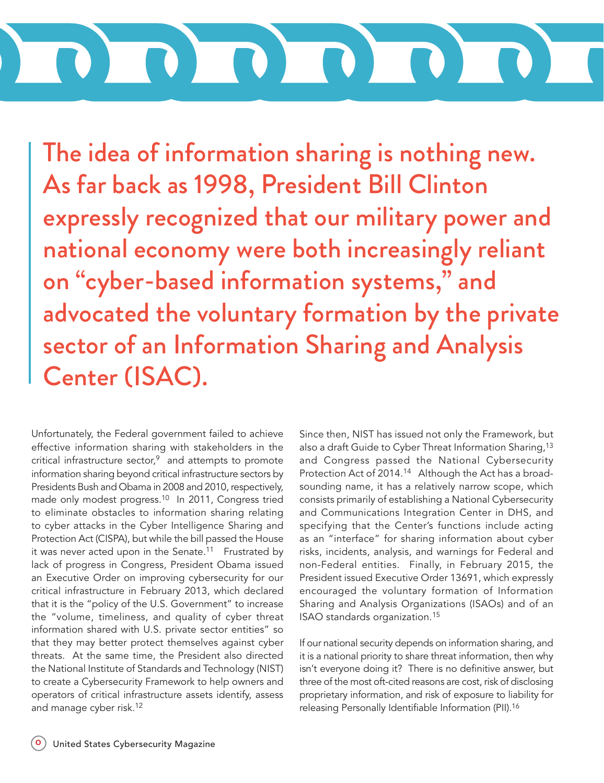The idea of information sharing is nothing new. As far back as 1998, President Bill Clinton expressly recognized that our military power and national economy were both increasingly reliant on "cyber-based information systems," and advocated the voluntary formation by the private sector of an Information Sharing and Analysis Center (ISAC).

Unfortunately, the Federal government failed to achieve effective information sharing with stakeholders in the critical infrastructure sector, $9$  and attempts to promote information sharing beyond critical infrastructure sectors by Presidents Bush and Obama in 2008 and 2010, respectively, made only modest progress.<sup>10</sup> In 2011, Congress tried to eliminate obstacles to information sharing relating to cyber attacks in the Cyber Intelligence Sharing and Protection Act (CISPA), but while the bill passed the House it was never acted upon in the Senate.<sup>11</sup> Frustrated by lack of progress in Congress, President Obama issued an Executive Order on improving cybersecurity for our critical infrastructure in February 2013, which declared that it is the "policy of the U.S. Government" to increase the "volume, timeliness, and quality of cyber threat information shared with U.S. private sector entities" so that they may better protect themselves against cyber threats. At the same time, the President also directed the National Institute of Standards and Technology (NIST) to create a Cybersecurity Framework to help owners and operators of critical infrastructure assets identify, assess and manage cyber risk.12

Since then, NIST has issued not only the Framework, but also a draft Guide to Cyber Threat Information Sharing,<sup>13</sup> and Congress passed the National Cybersecurity Protection Act of 2014.<sup>14</sup> Although the Act has a broadsounding name, it has a relatively narrow scope, which consists primarily of establishing a National Cybersecurity and Communications Integration Center in DHS, and specifying that the Center's functions include acting as an "interface" for sharing information about cyber risks, incidents, analysis, and warnings for Federal and non-Federal entities. Finally, in February 2015, the President issued Executive Order 13691, which expressly encouraged the voluntary formation of Information Sharing and Analysis Organizations (ISAOs) and of an ISAO standards organization.15

If our national security depends on information sharing, and it is a national priority to share threat information, then why isn't everyone doing it? There is no definitive answer, but three of the most oft-cited reasons are cost, risk of disclosing proprietary information, and risk of exposure to liability for releasing Personally Identifiable Information (PII).16